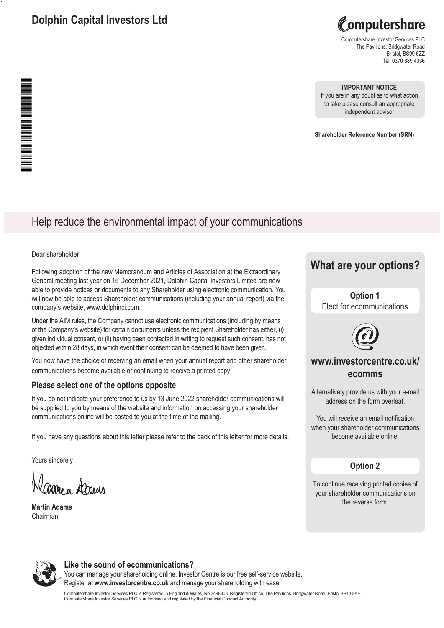# **Dolphin Capital Investors Ltd**

Computershare

Computershare Investor Services PLC The Pavilions, Bridgwater Road Bristol, BS99 6ZZ Tel: 0370 889 4036

### **IMPORTANT NOTICE**

If you are in any doubt as to what action to take please consult an appropriate independent advisor

**Shareholder Reference Number (SRN)**

# Help reduce the environmental impact of your communications

Dear shareholder

Following adoption of the new Memorandum and Articles of Association at the Extraordinary General meeting last year on 15 December 2021, Dolphin Capital Investors Limited are now able to provide notices or documents to any Shareholder using electronic communication. You will now be able to access Shareholder communications (including your annual report) via the company's website, www.dolphinci.com.

Under the AIM rules, the Company cannot use electronic communications (including by means of the Company's website) for certain documents unless the recipient Shareholder has either, (i) given individual consent, or (ii) having been contacted in writing to request such consent, has not objected within 28 days, in which event their consent can be deemed to have been given.

You now have the choice of receiving an email when your annual report and other shareholder communications become available or continuing to receive a printed copy.

### **Please select one of the options opposite**

If you do not indicate your preference to us by 13 June 2022 shareholder communications will be supplied to you by means of the website and information on accessing your shareholder communications online will be posted to you at the time of the mailing.

If you have any questions about this letter please refer to the back of this letter for more details.

Yours sincerely

Carre u Dorm

**Martin Adams**  Chairman

# **What are your options?**

**Option 1**  Elect for ecommunications



## **www.investorcentre.co.uk/ ecomms**

Alternatively provide us with your e-mail address on the form overleaf.

You will receive an email notification when your shareholder communications become available online.

### **Option 2**

To continue receiving printed copies of your shareholder communications on the reverse form.



### **Like the sound of ecommunications?**

You can manage your shareholding online. Investor Centre is our free self-service website. Register at **www.investorcentre.co.uk** and manage your shareholding with ease!

Computershare Investor Services PLC is Registered in England & Wales, No 3498808, Registered Office, The Pavilions, Bridgwater Road, Bristol BS13 8AE.<br>Computershare Investor Services PLC is authorised and regulated by the